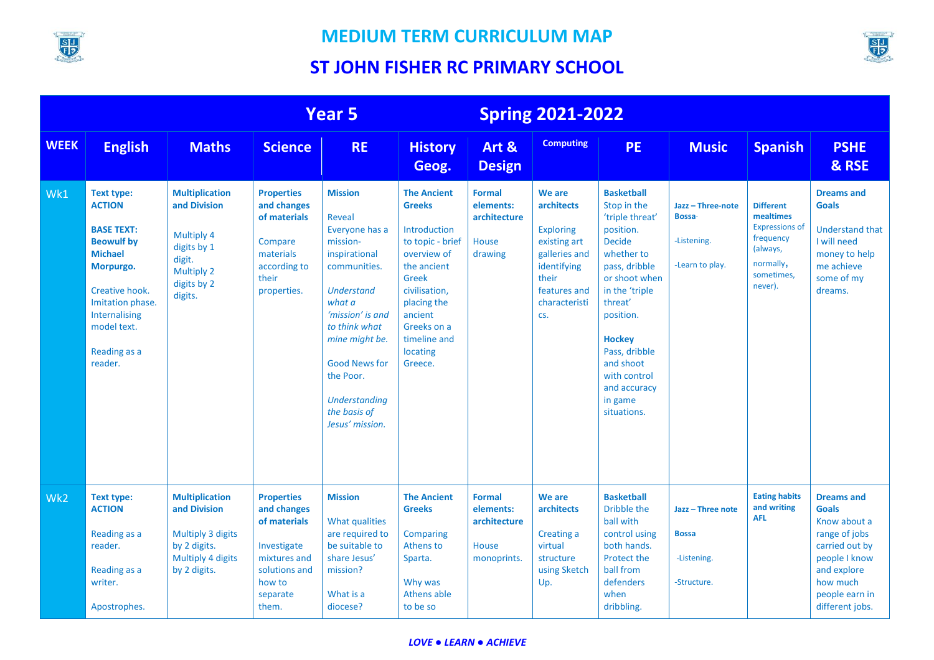



|             | <b>Year 5</b>                                                                                                                                                                                                |                                                                                                                             |                                                                                                                                 |                                                                                                                                                                                                                                                                               |                                                                                                                                                                                                                 |                                                                    | <b>Spring 2021-2022</b>                                                                                                                   |                                                                                                                                                                                                                                                                                      |                                                                     |                                                                                                                       |                                                                                                                                                                       |
|-------------|--------------------------------------------------------------------------------------------------------------------------------------------------------------------------------------------------------------|-----------------------------------------------------------------------------------------------------------------------------|---------------------------------------------------------------------------------------------------------------------------------|-------------------------------------------------------------------------------------------------------------------------------------------------------------------------------------------------------------------------------------------------------------------------------|-----------------------------------------------------------------------------------------------------------------------------------------------------------------------------------------------------------------|--------------------------------------------------------------------|-------------------------------------------------------------------------------------------------------------------------------------------|--------------------------------------------------------------------------------------------------------------------------------------------------------------------------------------------------------------------------------------------------------------------------------------|---------------------------------------------------------------------|-----------------------------------------------------------------------------------------------------------------------|-----------------------------------------------------------------------------------------------------------------------------------------------------------------------|
| <b>WEEK</b> | <b>English</b>                                                                                                                                                                                               | <b>Maths</b>                                                                                                                | <b>Science</b>                                                                                                                  | <b>RE</b>                                                                                                                                                                                                                                                                     | <b>History</b><br>Geog.                                                                                                                                                                                         | Art &<br><b>Design</b>                                             | <b>Computing</b>                                                                                                                          | <b>PE</b>                                                                                                                                                                                                                                                                            | <b>Music</b>                                                        | <b>Spanish</b>                                                                                                        | <b>PSHE</b><br>& RSE                                                                                                                                                  |
| Wk1         | <b>Text type:</b><br><b>ACTION</b><br><b>BASE TEXT:</b><br><b>Beowulf by</b><br><b>Michael</b><br>Morpurgo.<br>Creative hook.<br>Imitation phase.<br>Internalising<br>model text.<br>Reading as a<br>reader. | <b>Multiplication</b><br>and Division<br>Multiply 4<br>digits by 1<br>digit.<br><b>Multiply 2</b><br>digits by 2<br>digits. | <b>Properties</b><br>and changes<br>of materials<br>Compare<br>materials<br>according to<br>their<br>properties.                | <b>Mission</b><br>Reveal<br>Everyone has a<br>mission-<br>inspirational<br>communities.<br><b>Understand</b><br>what a<br>'mission' is and<br>to think what<br>mine might be.<br><b>Good News for</b><br>the Poor.<br><b>Understanding</b><br>the basis of<br>Jesus' mission. | <b>The Ancient</b><br><b>Greeks</b><br>Introduction<br>to topic - brief<br>overview of<br>the ancient<br>Greek<br>civilisation,<br>placing the<br>ancient<br>Greeks on a<br>timeline and<br>locating<br>Greece. | <b>Formal</b><br>elements:<br>architecture<br>House<br>drawing     | We are<br>architects<br><b>Exploring</b><br>existing art<br>galleries and<br>identifying<br>their<br>features and<br>characteristi<br>CS. | <b>Basketball</b><br>Stop in the<br>'triple threat'<br>position.<br><b>Decide</b><br>whether to<br>pass, dribble<br>or shoot when<br>in the 'triple<br>threat'<br>position.<br><b>Hockey</b><br>Pass, dribble<br>and shoot<br>with control<br>and accuracy<br>in game<br>situations. | Jazz - Three-note<br><b>Bossa</b><br>-Listening.<br>-Learn to play. | <b>Different</b><br>mealtimes<br><b>Expressions of</b><br>frequency<br>(always,<br>normally,<br>sometimes.<br>never). | <b>Dreams and</b><br><b>Goals</b><br><b>Understand that</b><br>I will need<br>money to help<br>me achieve<br>some of my<br>dreams.                                    |
| Wk2         | <b>Text type:</b><br><b>ACTION</b><br>Reading as a<br>reader.<br>Reading as a<br>writer.<br>Apostrophes.                                                                                                     | <b>Multiplication</b><br>and Division<br>Multiply 3 digits<br>by 2 digits.<br>Multiply 4 digits<br>by 2 digits.             | <b>Properties</b><br>and changes<br>of materials<br>Investigate<br>mixtures and<br>solutions and<br>how to<br>separate<br>them. | <b>Mission</b><br>What qualities<br>are required to<br>be suitable to<br>share Jesus'<br>mission?<br>What is a<br>diocese?                                                                                                                                                    | <b>The Ancient</b><br><b>Greeks</b><br>Comparing<br>Athens to<br>Sparta.<br>Why was<br>Athens able<br>to be so                                                                                                  | <b>Formal</b><br>elements:<br>architecture<br>House<br>monoprints. | We are<br>architects<br>Creating a<br>virtual<br>structure<br>using Sketch<br>Up.                                                         | <b>Basketball</b><br>Dribble the<br>ball with<br>control using<br>both hands.<br>Protect the<br>ball from<br>defenders<br>when<br>dribbling.                                                                                                                                         | Jazz - Three note<br><b>Bossa</b><br>-Listening.<br>-Structure.     | <b>Eating habits</b><br>and writing<br><b>AFL</b>                                                                     | <b>Dreams and</b><br><b>Goals</b><br>Know about a<br>range of jobs<br>carried out by<br>people I know<br>and explore<br>how much<br>people earn in<br>different jobs. |

#### *LOVE ● LEARN ● ACHIEVE*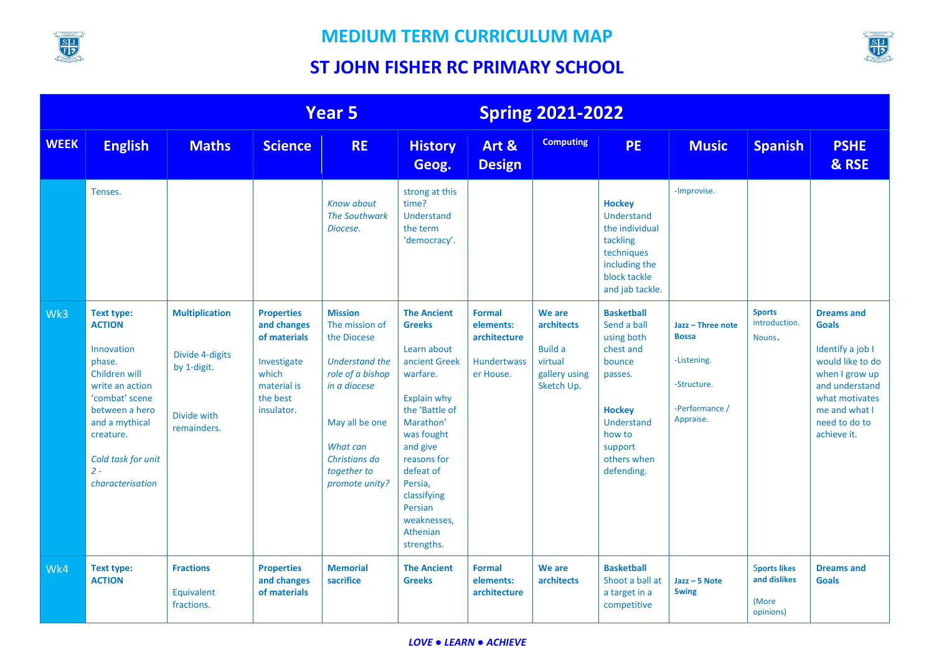

#### **MEDIUM TERM CURRICULUM MAP**



|             | Year <sub>5</sub>                                                                                                                                                                                             |                                                                                       |                                                                                                                   |                                                                                                                                                                                       |                                                                                                                                                                                                                                                                   | <b>Spring 2021-2022</b>                                                       |                                                                                         |                                                                                                                                                                   |                                                                                                |                                                           |                                                                                                                                                                                  |
|-------------|---------------------------------------------------------------------------------------------------------------------------------------------------------------------------------------------------------------|---------------------------------------------------------------------------------------|-------------------------------------------------------------------------------------------------------------------|---------------------------------------------------------------------------------------------------------------------------------------------------------------------------------------|-------------------------------------------------------------------------------------------------------------------------------------------------------------------------------------------------------------------------------------------------------------------|-------------------------------------------------------------------------------|-----------------------------------------------------------------------------------------|-------------------------------------------------------------------------------------------------------------------------------------------------------------------|------------------------------------------------------------------------------------------------|-----------------------------------------------------------|----------------------------------------------------------------------------------------------------------------------------------------------------------------------------------|
| <b>WEEK</b> | <b>English</b>                                                                                                                                                                                                | <b>Maths</b>                                                                          | <b>Science</b>                                                                                                    | <b>RE</b>                                                                                                                                                                             | <b>History</b><br>Geog.                                                                                                                                                                                                                                           | Art &<br><b>Design</b>                                                        | <b>Computing</b>                                                                        | <b>PE</b>                                                                                                                                                         | <b>Music</b>                                                                                   | <b>Spanish</b>                                            | <b>PSHE</b><br>& RSE                                                                                                                                                             |
|             | Tenses.                                                                                                                                                                                                       |                                                                                       |                                                                                                                   | <b>Know about</b><br><b>The Southwark</b><br>Diocese.                                                                                                                                 | strong at this<br>time?<br><b>Understand</b><br>the term<br>'democracy'.                                                                                                                                                                                          |                                                                               |                                                                                         | <b>Hockey</b><br><b>Understand</b><br>the individual<br>tackling<br>techniques<br>including the<br>block tackle<br>and jab tackle.                                | -Improvise.                                                                                    |                                                           |                                                                                                                                                                                  |
| Wk3         | Text type:<br><b>ACTION</b><br>Innovation<br>phase.<br>Children will<br>write an action<br>'combat' scene<br>between a hero<br>and a mythical<br>creature.<br>Cold task for unit<br>$2 -$<br>characterisation | <b>Multiplication</b><br>Divide 4-digits<br>by 1-digit.<br>Divide with<br>remainders. | <b>Properties</b><br>and changes<br>of materials<br>Investigate<br>which<br>material is<br>the best<br>insulator. | <b>Mission</b><br>The mission of<br>the Diocese<br>Understand the<br>role of a bishop<br>in a diocese<br>May all be one<br>What can<br>Christians do<br>together to<br>promote unity? | <b>The Ancient</b><br><b>Greeks</b><br>Learn about<br>ancient Greek<br>warfare.<br>Explain why<br>the 'Battle of<br>Marathon'<br>was fought<br>and give<br>reasons for<br>defeat of<br>Persia,<br>classifying<br>Persian<br>weaknesses.<br>Athenian<br>strengths. | <b>Formal</b><br>elements:<br>architecture<br><b>Hundertwass</b><br>er House. | We are<br><b>architects</b><br><b>Build a</b><br>virtual<br>gallery using<br>Sketch Up. | <b>Basketball</b><br>Send a ball<br>using both<br>chest and<br>bounce<br>passes.<br><b>Hockey</b><br>Understand<br>how to<br>support<br>others when<br>defending. | Jazz - Three note<br><b>Bossa</b><br>-Listening.<br>-Structure.<br>-Performance /<br>Appraise. | <b>Sports</b><br>introduction.<br>Nouns.                  | <b>Dreams and</b><br><b>Goals</b><br>Identify a job I<br>would like to do<br>when I grow up<br>and understand<br>what motivates<br>me and what I<br>need to do to<br>achieve it. |
| Wk4         | Text type:<br><b>ACTION</b>                                                                                                                                                                                   | <b>Fractions</b><br>Equivalent<br>fractions.                                          | <b>Properties</b><br>and changes<br>of materials                                                                  | <b>Memorial</b><br>sacrifice                                                                                                                                                          | <b>The Ancient</b><br><b>Greeks</b>                                                                                                                                                                                                                               | <b>Formal</b><br>elements:<br>architecture                                    | We are<br><b>architects</b>                                                             | <b>Basketball</b><br>Shoot a ball at<br>a target in a<br>competitive                                                                                              | $Java - 5 Note$<br><b>Swing</b>                                                                | <b>Sports likes</b><br>and dislikes<br>(More<br>opinions) | <b>Dreams and</b><br><b>Goals</b>                                                                                                                                                |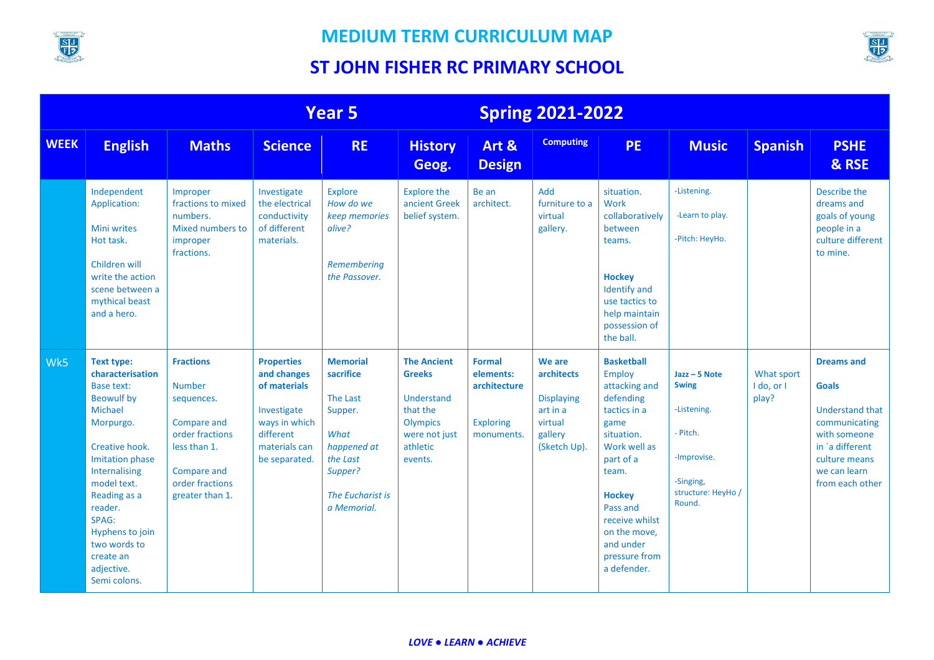

#### **MEDIUM TERM CURRICULUM MAP**



|             | <b>Year 5</b>                                                                                                                                                                                                                                                                                  |                                                                                                                                                        |                                                                                                                                 |                                                                                                                                             |                                                                                                                                 | <b>Spring 2021-2022</b>                                                      |                                                                                             |                                                                                                                                                                                                                                                          |                                                                                                                        |                                   |                                                                                                                                                                     |
|-------------|------------------------------------------------------------------------------------------------------------------------------------------------------------------------------------------------------------------------------------------------------------------------------------------------|--------------------------------------------------------------------------------------------------------------------------------------------------------|---------------------------------------------------------------------------------------------------------------------------------|---------------------------------------------------------------------------------------------------------------------------------------------|---------------------------------------------------------------------------------------------------------------------------------|------------------------------------------------------------------------------|---------------------------------------------------------------------------------------------|----------------------------------------------------------------------------------------------------------------------------------------------------------------------------------------------------------------------------------------------------------|------------------------------------------------------------------------------------------------------------------------|-----------------------------------|---------------------------------------------------------------------------------------------------------------------------------------------------------------------|
| <b>WEEK</b> | <b>English</b>                                                                                                                                                                                                                                                                                 | <b>Maths</b>                                                                                                                                           | <b>Science</b>                                                                                                                  | <b>RE</b>                                                                                                                                   | <b>History</b><br>Geog.                                                                                                         | Art &<br><b>Design</b>                                                       | <b>Computing</b>                                                                            | <b>PE</b>                                                                                                                                                                                                                                                | <b>Music</b>                                                                                                           | <b>Spanish</b>                    | <b>PSHE</b><br>& RSE                                                                                                                                                |
|             | Independent<br>Application:<br><b>Mini writes</b><br>Hot task.<br>Children will<br>write the action<br>scene between a<br>mythical beast<br>and a hero.                                                                                                                                        | Improper<br>fractions to mixed<br>numbers.<br>Mixed numbers to<br>improper<br>fractions.                                                               | Investigate<br>the electrical<br>conductivity<br>of different<br>materials.                                                     | <b>Explore</b><br>How do we<br>keep memories<br>alive?<br>Remembering<br>the Passover.                                                      | <b>Explore the</b><br>ancient Greek<br>belief system.                                                                           | Be an<br>architect.                                                          | Add<br>furniture to a<br>virtual<br>gallery.                                                | situation.<br>Work<br>collaboratively<br>between<br>teams.<br><b>Hockey</b><br><b>Identify and</b><br>use tactics to<br>help maintain<br>possession of<br>the ball.                                                                                      | -Listening.<br>-Learn to play.<br>-Pitch: HeyHo.                                                                       |                                   | Describe the<br>dreams and<br>goals of young<br>people in a<br>culture different<br>to mine.                                                                        |
| Wk5         | Text type:<br>characterisation<br><b>Base text:</b><br><b>Beowulf by</b><br>Michael<br>Morpurgo.<br>Creative hook.<br><b>Imitation phase</b><br>Internalising<br>model text.<br>Reading as a<br>reader.<br>SPAG:<br>Hyphens to join<br>two words to<br>create an<br>adjective.<br>Semi colons. | <b>Fractions</b><br><b>Number</b><br>sequences.<br>Compare and<br>order fractions<br>less than 1.<br>Compare and<br>order fractions<br>greater than 1. | <b>Properties</b><br>and changes<br>of materials<br>Investigate<br>ways in which<br>different<br>materials can<br>be separated. | <b>Memorial</b><br>sacrifice<br><b>The Last</b><br>Supper.<br>What<br>happened at<br>the Last<br>Supper?<br>The Eucharist is<br>a Memorial. | <b>The Ancient</b><br><b>Greeks</b><br><b>Understand</b><br>that the<br><b>Olympics</b><br>were not just<br>athletic<br>events. | <b>Formal</b><br>elements:<br>architecture<br><b>Exploring</b><br>monuments. | We are<br>architects<br><b>Displaying</b><br>art in a<br>virtual<br>gallery<br>(Sketch Up). | <b>Basketball</b><br><b>Employ</b><br>attacking and<br>defending<br>tactics in a<br>game<br>situation.<br>Work well as<br>part of a<br>team.<br><b>Hockey</b><br>Pass and<br>receive whilst<br>on the move,<br>and under<br>pressure from<br>a defender. | $Java - 5 Note$<br><b>Swing</b><br>-Listening.<br>- Pitch.<br>-Improvise.<br>-Singing,<br>structure: HeyHo /<br>Round. | What sport<br>I do, or I<br>play? | <b>Dreams and</b><br><b>Goals</b><br><b>Understand that</b><br>communicating<br>with someone<br>in `a different<br>culture means<br>we can learn<br>from each other |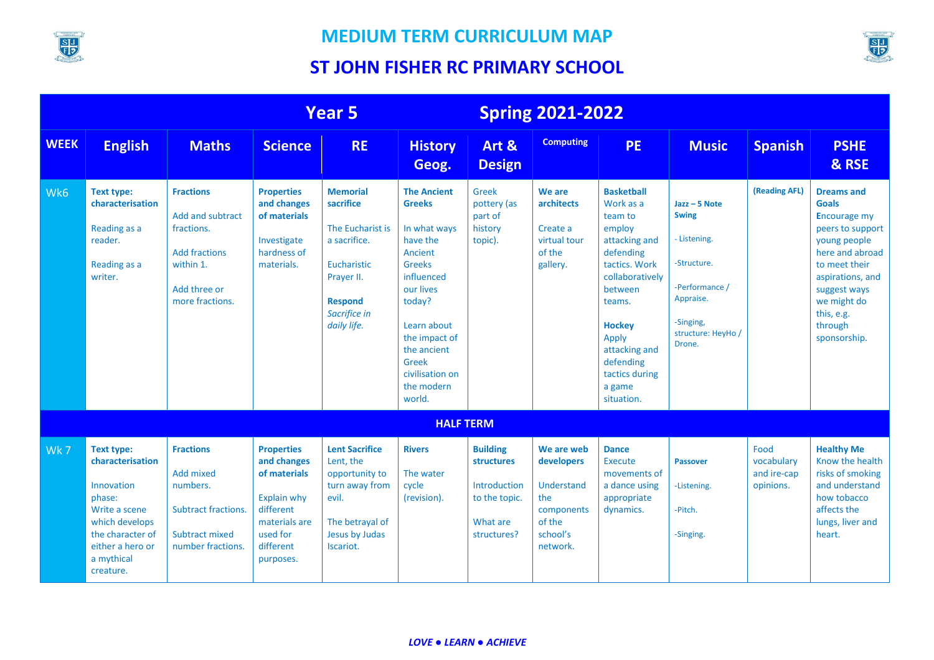



|             | Year 5                                                                                                                                                              |                                                                                                                                   |                                                                                                                                            |                                                                                                                                                | <b>Spring 2021-2022</b>                                                                                                                                                                                                             |                                                                                                  |                                                                                                      |                                                                                                                                                                                                                                              |                                                                                                                                            |                                                |                                                                                                                                                                                                                              |
|-------------|---------------------------------------------------------------------------------------------------------------------------------------------------------------------|-----------------------------------------------------------------------------------------------------------------------------------|--------------------------------------------------------------------------------------------------------------------------------------------|------------------------------------------------------------------------------------------------------------------------------------------------|-------------------------------------------------------------------------------------------------------------------------------------------------------------------------------------------------------------------------------------|--------------------------------------------------------------------------------------------------|------------------------------------------------------------------------------------------------------|----------------------------------------------------------------------------------------------------------------------------------------------------------------------------------------------------------------------------------------------|--------------------------------------------------------------------------------------------------------------------------------------------|------------------------------------------------|------------------------------------------------------------------------------------------------------------------------------------------------------------------------------------------------------------------------------|
| <b>WEEK</b> | <b>English</b>                                                                                                                                                      | <b>Maths</b>                                                                                                                      | <b>Science</b>                                                                                                                             | <b>RE</b>                                                                                                                                      | <b>History</b><br>Geog.                                                                                                                                                                                                             | Art &<br><b>Design</b>                                                                           | <b>Computing</b>                                                                                     | <b>PE</b>                                                                                                                                                                                                                                    | <b>Music</b>                                                                                                                               | <b>Spanish</b>                                 | <b>PSHE</b><br>& RSE                                                                                                                                                                                                         |
| Wk6         | <b>Text type:</b><br>characterisation<br>Reading as a<br>reader.<br>Reading as a<br>writer.                                                                         | <b>Fractions</b><br><b>Add and subtract</b><br>fractions.<br><b>Add fractions</b><br>within 1.<br>Add three or<br>more fractions. | <b>Properties</b><br>and changes<br>of materials<br>Investigate<br>hardness of<br>materials.                                               | <b>Memorial</b><br>sacrifice<br>The Eucharist is<br>a sacrifice.<br>Eucharistic<br>Prayer II.<br><b>Respond</b><br>Sacrifice in<br>daily life. | <b>The Ancient</b><br><b>Greeks</b><br>In what ways<br>have the<br>Ancient<br><b>Greeks</b><br>influenced<br>our lives<br>today?<br>Learn about<br>the impact of<br>the ancient<br>Greek<br>civilisation on<br>the modern<br>world. | Greek<br>pottery (as<br>part of<br>history<br>topic).                                            | We are<br>architects<br>Create a<br>virtual tour<br>of the<br>gallery.                               | <b>Basketball</b><br>Work as a<br>team to<br>employ<br>attacking and<br>defending<br>tactics. Work<br>collaboratively<br>between<br>teams.<br><b>Hockey</b><br>Apply<br>attacking and<br>defending<br>tactics during<br>a game<br>situation. | $Java - 5 Note$<br><b>Swing</b><br>- Listening.<br>-Structure.<br>-Performance /<br>Appraise.<br>-Singing,<br>structure: HeyHo /<br>Drone. | (Reading AFL)                                  | <b>Dreams and</b><br><b>Goals</b><br><b>Encourage my</b><br>peers to support<br>young people<br>here and abroad<br>to meet their<br>aspirations, and<br>suggest ways<br>we might do<br>this, e.g.<br>through<br>sponsorship. |
|             |                                                                                                                                                                     |                                                                                                                                   |                                                                                                                                            |                                                                                                                                                | <b>HALF TERM</b>                                                                                                                                                                                                                    |                                                                                                  |                                                                                                      |                                                                                                                                                                                                                                              |                                                                                                                                            |                                                |                                                                                                                                                                                                                              |
| Wk7         | <b>Text type:</b><br>characterisation<br>Innovation<br>phase:<br>Write a scene<br>which develops<br>the character of<br>either a hero or<br>a mythical<br>creature. | <b>Fractions</b><br><b>Add mixed</b><br>numbers.<br><b>Subtract fractions.</b><br><b>Subtract mixed</b><br>number fractions.      | <b>Properties</b><br>and changes<br>of materials<br><b>Explain why</b><br>different<br>materials are<br>used for<br>different<br>purposes. | <b>Lent Sacrifice</b><br>Lent, the<br>opportunity to<br>turn away from<br>evil.<br>The betrayal of<br>Jesus by Judas<br>Iscariot.              | <b>Rivers</b><br>The water<br>cycle<br>(revision).                                                                                                                                                                                  | <b>Building</b><br><b>structures</b><br>Introduction<br>to the topic.<br>What are<br>structures? | We are web<br>developers<br><b>Understand</b><br>the<br>components<br>of the<br>school's<br>network. | <b>Dance</b><br><b>Execute</b><br>movements of<br>a dance using<br>appropriate<br>dynamics.                                                                                                                                                  | Passover<br>-Listening.<br>-Pitch.<br>-Singing.                                                                                            | Food<br>vocabulary<br>and ire-cap<br>opinions. | <b>Healthy Me</b><br>Know the health<br>risks of smoking<br>and understand<br>how tobacco<br>affects the<br>lungs, liver and<br>heart.                                                                                       |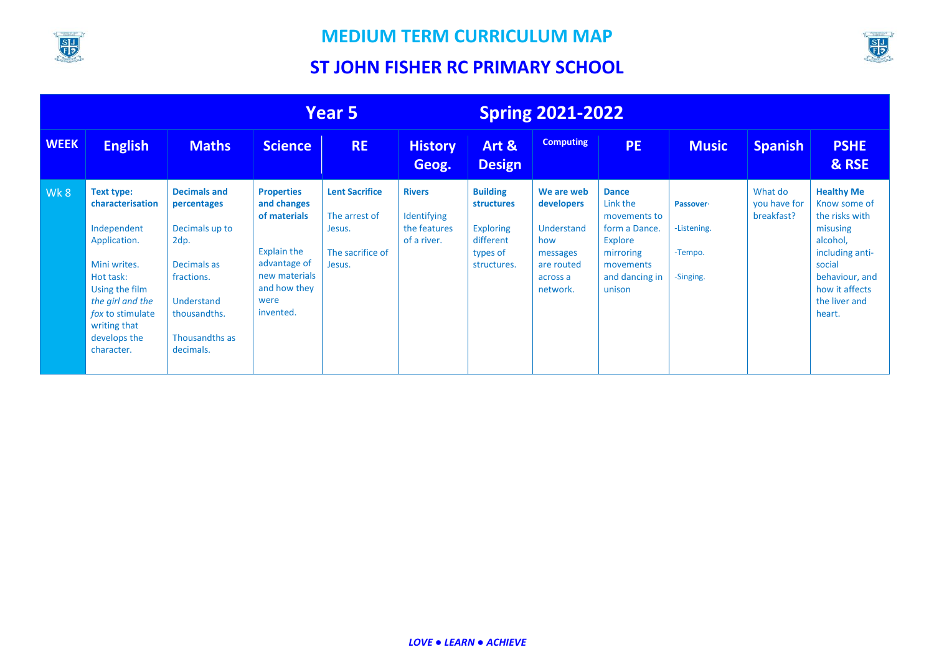

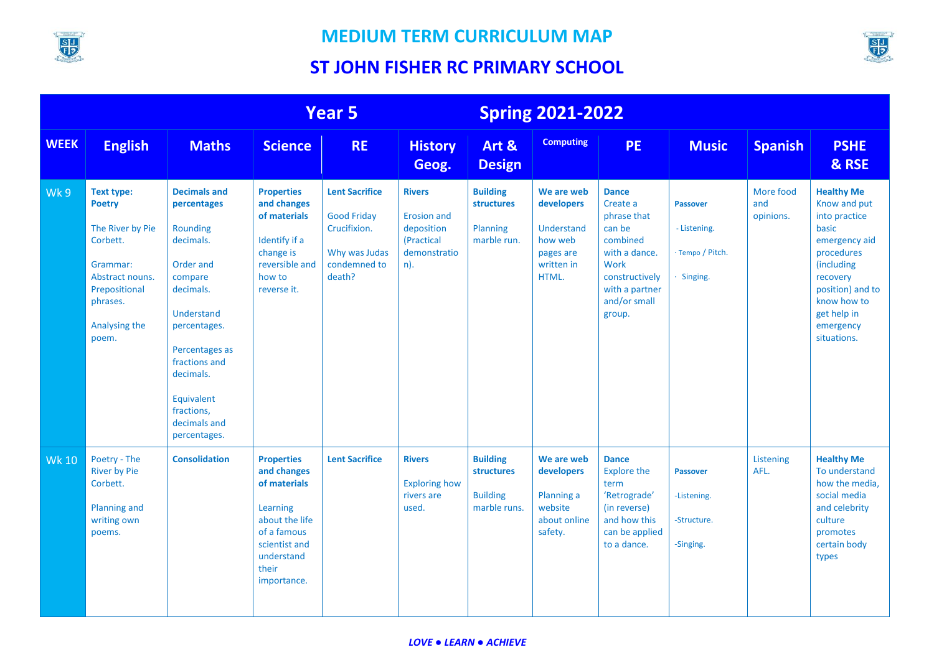



|              | <b>Year 5</b>                                                                                                                                            |                                                                                                                                                                                                                                            |                                                                                                                                                      |                                                                                                        | <b>Spring 2021-2022</b>                                                                |                                                                  |                                                                                       |                                                                                                                                                      |                                                                   |                               |                                                                                                                                                                                                    |
|--------------|----------------------------------------------------------------------------------------------------------------------------------------------------------|--------------------------------------------------------------------------------------------------------------------------------------------------------------------------------------------------------------------------------------------|------------------------------------------------------------------------------------------------------------------------------------------------------|--------------------------------------------------------------------------------------------------------|----------------------------------------------------------------------------------------|------------------------------------------------------------------|---------------------------------------------------------------------------------------|------------------------------------------------------------------------------------------------------------------------------------------------------|-------------------------------------------------------------------|-------------------------------|----------------------------------------------------------------------------------------------------------------------------------------------------------------------------------------------------|
| <b>WEEK</b>  | <b>English</b>                                                                                                                                           | <b>Maths</b>                                                                                                                                                                                                                               | <b>Science</b>                                                                                                                                       | <b>RE</b>                                                                                              | <b>History</b><br>Geog.                                                                | Art &<br><b>Design</b>                                           | <b>Computing</b>                                                                      | <b>PE</b>                                                                                                                                            | <b>Music</b>                                                      | <b>Spanish</b>                | <b>PSHE</b><br>& RSE                                                                                                                                                                               |
| Wk9          | <b>Text type:</b><br><b>Poetry</b><br>The River by Pie<br>Corbett.<br>Grammar:<br>Abstract nouns.<br>Prepositional<br>phrases.<br>Analysing the<br>poem. | <b>Decimals and</b><br>percentages<br>Rounding<br>decimals.<br>Order and<br>compare<br>decimals.<br>Understand<br>percentages.<br>Percentages as<br>fractions and<br>decimals.<br>Equivalent<br>fractions,<br>decimals and<br>percentages. | <b>Properties</b><br>and changes<br>of materials<br>Identify if a<br>change is<br>reversible and<br>how to<br>reverse it.                            | <b>Lent Sacrifice</b><br><b>Good Friday</b><br>Crucifixion.<br>Why was Judas<br>condemned to<br>death? | <b>Rivers</b><br><b>Erosion and</b><br>deposition<br>(Practical<br>demonstratio<br>n). | <b>Building</b><br>structures<br>Planning<br>marble run.         | We are web<br>developers<br>Understand<br>how web<br>pages are<br>written in<br>HTML. | <b>Dance</b><br>Create a<br>phrase that<br>can be<br>combined<br>with a dance.<br>Work<br>constructively<br>with a partner<br>and/or small<br>group. | <b>Passover</b><br>- Listening.<br>· Tempo / Pitch.<br>· Singing. | More food<br>and<br>opinions. | <b>Healthy Me</b><br>Know and put<br>into practice<br>basic<br>emergency aid<br>procedures<br>(including<br>recovery<br>position) and to<br>know how to<br>get help in<br>emergency<br>situations. |
| <b>Wk 10</b> | Poetry - The<br><b>River by Pie</b><br>Corbett.<br><b>Planning and</b><br>writing own<br>poems.                                                          | <b>Consolidation</b>                                                                                                                                                                                                                       | <b>Properties</b><br>and changes<br>of materials<br>Learning<br>about the life<br>of a famous<br>scientist and<br>understand<br>their<br>importance. | <b>Lent Sacrifice</b>                                                                                  | <b>Rivers</b><br><b>Exploring how</b><br>rivers are<br>used.                           | <b>Building</b><br>structures<br><b>Building</b><br>marble runs. | We are web<br>developers<br>Planning a<br>website<br>about online<br>safety.          | <b>Dance</b><br><b>Explore the</b><br>term<br>'Retrograde'<br>(in reverse)<br>and how this<br>can be applied<br>to a dance.                          | <b>Passover</b><br>-Listening.<br>-Structure.<br>-Singing.        | Listening<br>AFL.             | <b>Healthy Me</b><br>To understand<br>how the media,<br>social media<br>and celebrity<br>culture<br>promotes<br>certain body<br>types                                                              |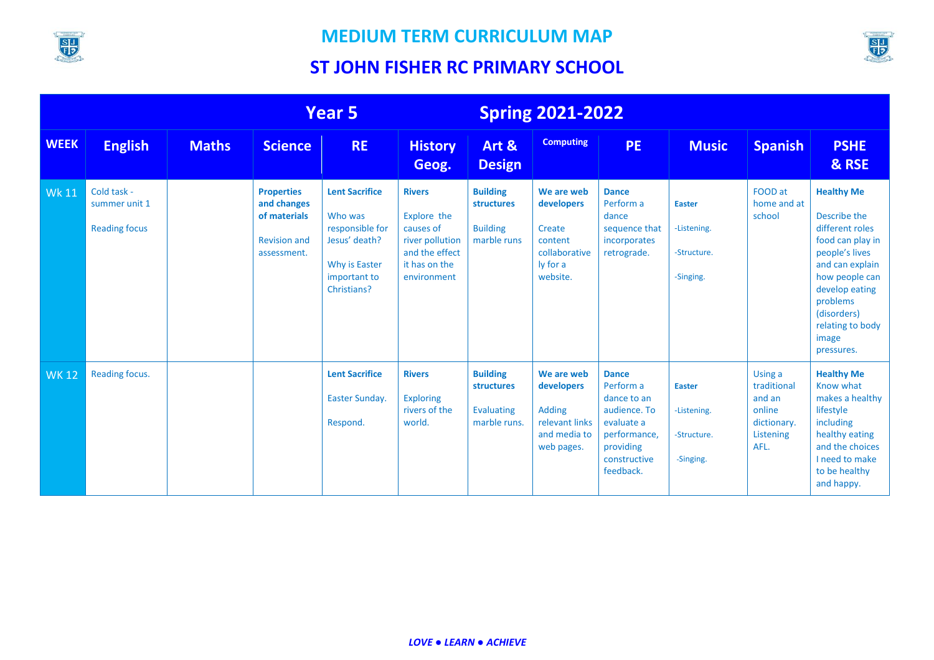



|              | <b>Year 5</b>                                        |              |                                                                                        | <b>Spring 2021-2022</b>                                                                                              |                                                                                                                |                                                                        |                                                                                           |                                                                                                                                  |                                                          |                                                                                |                                                                                                                                                                                                                         |
|--------------|------------------------------------------------------|--------------|----------------------------------------------------------------------------------------|----------------------------------------------------------------------------------------------------------------------|----------------------------------------------------------------------------------------------------------------|------------------------------------------------------------------------|-------------------------------------------------------------------------------------------|----------------------------------------------------------------------------------------------------------------------------------|----------------------------------------------------------|--------------------------------------------------------------------------------|-------------------------------------------------------------------------------------------------------------------------------------------------------------------------------------------------------------------------|
| <b>WEEK</b>  | <b>English</b>                                       | <b>Maths</b> | <b>Science</b>                                                                         | <b>RE</b>                                                                                                            | <b>History</b><br>Geog.                                                                                        | Art &<br><b>Design</b>                                                 | <b>Computing</b>                                                                          | PE.                                                                                                                              | <b>Music</b>                                             | <b>Spanish</b>                                                                 | <b>PSHE</b><br>& RSE                                                                                                                                                                                                    |
| <b>Wk 11</b> | Cold task -<br>summer unit 1<br><b>Reading focus</b> |              | <b>Properties</b><br>and changes<br>of materials<br><b>Revision and</b><br>assessment. | <b>Lent Sacrifice</b><br>Who was<br>responsible for<br>Jesus' death?<br>Why is Easter<br>important to<br>Christians? | <b>Rivers</b><br>Explore the<br>causes of<br>river pollution<br>and the effect<br>it has on the<br>environment | <b>Building</b><br><b>structures</b><br><b>Building</b><br>marble runs | We are web<br>developers<br>Create<br>content<br>collaborative<br>ly for a<br>website.    | <b>Dance</b><br>Perform a<br>dance<br>sequence that<br>incorporates<br>retrograde.                                               | <b>Easter</b><br>-Listening.<br>-Structure.<br>-Singing. | FOOD at<br>home and at<br>school                                               | <b>Healthy Me</b><br>Describe the<br>different roles<br>food can play in<br>people's lives<br>and can explain<br>how people can<br>develop eating<br>problems<br>(disorders)<br>relating to body<br>image<br>pressures. |
| <b>WK12</b>  | Reading focus.                                       |              |                                                                                        | <b>Lent Sacrifice</b><br><b>Easter Sunday.</b><br>Respond.                                                           | <b>Rivers</b><br><b>Exploring</b><br>rivers of the<br>world.                                                   | <b>Building</b><br>structures<br>Evaluating<br>marble runs.            | We are web<br>developers<br><b>Adding</b><br>relevant links<br>and media to<br>web pages. | <b>Dance</b><br>Perform a<br>dance to an<br>audience. To<br>evaluate a<br>performance,<br>providing<br>constructive<br>feedback. | <b>Easter</b><br>-Listening.<br>-Structure.<br>-Singing. | Using a<br>traditional<br>and an<br>online<br>dictionary.<br>Listening<br>AFL. | <b>Healthy Me</b><br>Know what<br>makes a healthy<br>lifestyle<br>including<br>healthy eating<br>and the choices<br>I need to make<br>to be healthy<br>and happy.                                                       |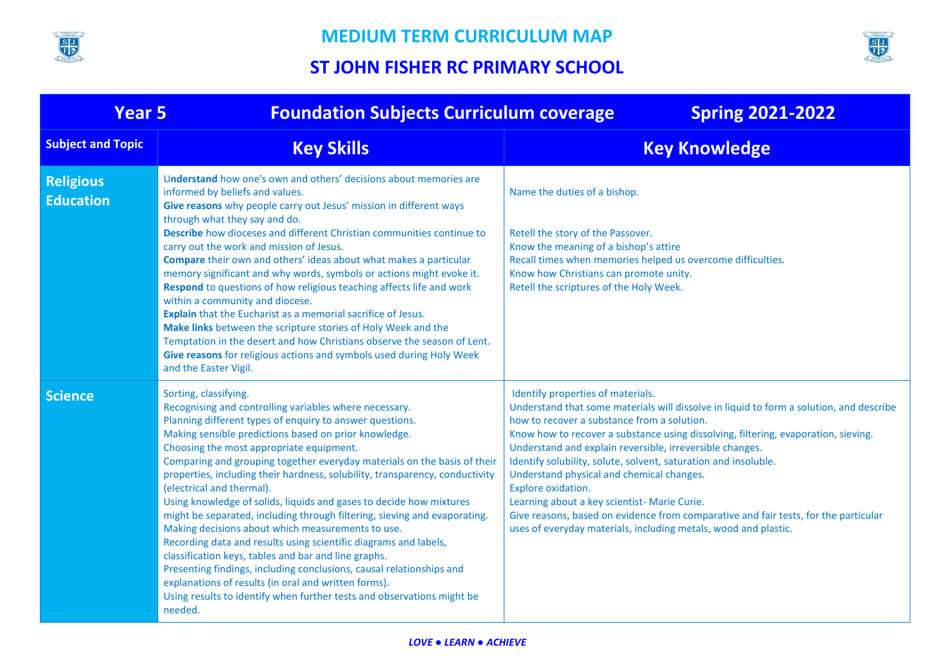



| <b>Year 5</b>                        | <b>Foundation Subjects Curriculum coverage</b>                                                                                                                                                                                                                                                                                                                                                                                                                                                                                                                                                                                                                                                                                                                                                                                                                                                                                                                                                      | <b>Spring 2021-2022</b>                                                                                                                                                                                                                                                                                                                                                                                                                                                                                                                                                                                                                                                       |
|--------------------------------------|-----------------------------------------------------------------------------------------------------------------------------------------------------------------------------------------------------------------------------------------------------------------------------------------------------------------------------------------------------------------------------------------------------------------------------------------------------------------------------------------------------------------------------------------------------------------------------------------------------------------------------------------------------------------------------------------------------------------------------------------------------------------------------------------------------------------------------------------------------------------------------------------------------------------------------------------------------------------------------------------------------|-------------------------------------------------------------------------------------------------------------------------------------------------------------------------------------------------------------------------------------------------------------------------------------------------------------------------------------------------------------------------------------------------------------------------------------------------------------------------------------------------------------------------------------------------------------------------------------------------------------------------------------------------------------------------------|
| <b>Subject and Topic</b>             | <b>Key Skills</b>                                                                                                                                                                                                                                                                                                                                                                                                                                                                                                                                                                                                                                                                                                                                                                                                                                                                                                                                                                                   | <b>Key Knowledge</b>                                                                                                                                                                                                                                                                                                                                                                                                                                                                                                                                                                                                                                                          |
| <b>Religious</b><br><b>Education</b> | Understand how one's own and others' decisions about memories are<br>informed by beliefs and values.<br>Give reasons why people carry out Jesus' mission in different ways<br>through what they say and do.<br>Describe how dioceses and different Christian communities continue to<br>carry out the work and mission of Jesus.<br><b>Compare</b> their own and others' ideas about what makes a particular<br>memory significant and why words, symbols or actions might evoke it.<br>Respond to questions of how religious teaching affects life and work<br>within a community and diocese.<br>Explain that the Eucharist as a memorial sacrifice of Jesus.<br>Make links between the scripture stories of Holy Week and the<br>Temptation in the desert and how Christians observe the season of Lent.<br>Give reasons for religious actions and symbols used during Holy Week<br>and the Easter Vigil.                                                                                        | Name the duties of a bishop.<br>Retell the story of the Passover.<br>Know the meaning of a bishop's attire<br>Recall times when memories helped us overcome difficulties.<br>Know how Christians can promote unity.<br>Retell the scriptures of the Holy Week.                                                                                                                                                                                                                                                                                                                                                                                                                |
| <b>Science</b>                       | Sorting, classifying.<br>Recognising and controlling variables where necessary.<br>Planning different types of enquiry to answer questions.<br>Making sensible predictions based on prior knowledge.<br>Choosing the most appropriate equipment.<br>Comparing and grouping together everyday materials on the basis of their<br>properties, including their hardness, solubility, transparency, conductivity<br>(electrical and thermal).<br>Using knowledge of solids, liquids and gases to decide how mixtures<br>might be separated, including through filtering, sieving and evaporating.<br>Making decisions about which measurements to use.<br>Recording data and results using scientific diagrams and labels,<br>classification keys, tables and bar and line graphs.<br>Presenting findings, including conclusions, causal relationships and<br>explanations of results (in oral and written forms).<br>Using results to identify when further tests and observations might be<br>needed. | Identify properties of materials.<br>Understand that some materials will dissolve in liquid to form a solution, and describe<br>how to recover a substance from a solution.<br>Know how to recover a substance using dissolving, filtering, evaporation, sieving.<br>Understand and explain reversible, irreversible changes.<br>Identify solubility, solute, solvent, saturation and insoluble.<br>Understand physical and chemical changes.<br>Explore oxidation.<br>Learning about a key scientist- Marie Curie.<br>Give reasons, based on evidence from comparative and fair tests, for the particular<br>uses of everyday materials, including metals, wood and plastic. |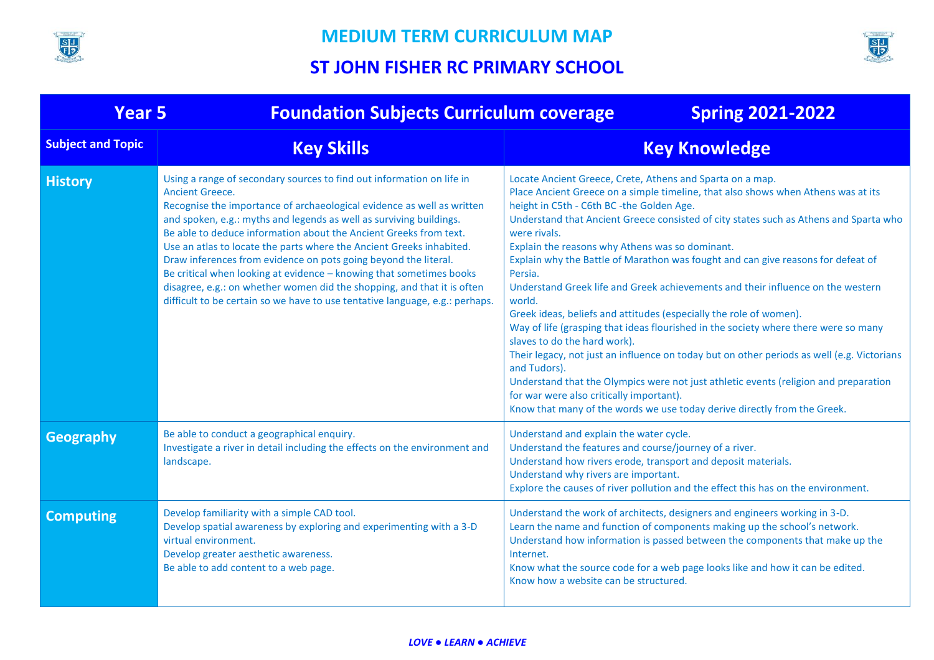



| <b>Year 5</b>            | <b>Foundation Subjects Curriculum coverage</b>                                                                                                                                                                                                                                                                                                                                                                                                                                                                                                                                                                                                                                                     | <b>Spring 2021-2022</b>                                                                                                                                                                                                                                                                                                                                                                                                                                                                                                                                                                                                                                                                                                                                                                                                                                                                                                                                                                                                                                                        |  |  |  |  |
|--------------------------|----------------------------------------------------------------------------------------------------------------------------------------------------------------------------------------------------------------------------------------------------------------------------------------------------------------------------------------------------------------------------------------------------------------------------------------------------------------------------------------------------------------------------------------------------------------------------------------------------------------------------------------------------------------------------------------------------|--------------------------------------------------------------------------------------------------------------------------------------------------------------------------------------------------------------------------------------------------------------------------------------------------------------------------------------------------------------------------------------------------------------------------------------------------------------------------------------------------------------------------------------------------------------------------------------------------------------------------------------------------------------------------------------------------------------------------------------------------------------------------------------------------------------------------------------------------------------------------------------------------------------------------------------------------------------------------------------------------------------------------------------------------------------------------------|--|--|--|--|
| <b>Subject and Topic</b> | <b>Key Skills</b>                                                                                                                                                                                                                                                                                                                                                                                                                                                                                                                                                                                                                                                                                  | <b>Key Knowledge</b>                                                                                                                                                                                                                                                                                                                                                                                                                                                                                                                                                                                                                                                                                                                                                                                                                                                                                                                                                                                                                                                           |  |  |  |  |
| <b>History</b>           | Using a range of secondary sources to find out information on life in<br><b>Ancient Greece.</b><br>Recognise the importance of archaeological evidence as well as written<br>and spoken, e.g.: myths and legends as well as surviving buildings.<br>Be able to deduce information about the Ancient Greeks from text.<br>Use an atlas to locate the parts where the Ancient Greeks inhabited.<br>Draw inferences from evidence on pots going beyond the literal.<br>Be critical when looking at evidence - knowing that sometimes books<br>disagree, e.g.: on whether women did the shopping, and that it is often<br>difficult to be certain so we have to use tentative language, e.g.: perhaps. | Locate Ancient Greece, Crete, Athens and Sparta on a map.<br>Place Ancient Greece on a simple timeline, that also shows when Athens was at its<br>height in C5th - C6th BC -the Golden Age.<br>Understand that Ancient Greece consisted of city states such as Athens and Sparta who<br>were rivals.<br>Explain the reasons why Athens was so dominant.<br>Explain why the Battle of Marathon was fought and can give reasons for defeat of<br>Persia.<br>Understand Greek life and Greek achievements and their influence on the western<br>world.<br>Greek ideas, beliefs and attitudes (especially the role of women).<br>Way of life (grasping that ideas flourished in the society where there were so many<br>slaves to do the hard work).<br>Their legacy, not just an influence on today but on other periods as well (e.g. Victorians<br>and Tudors).<br>Understand that the Olympics were not just athletic events (religion and preparation<br>for war were also critically important).<br>Know that many of the words we use today derive directly from the Greek. |  |  |  |  |
| <b>Geography</b>         | Be able to conduct a geographical enquiry.<br>Investigate a river in detail including the effects on the environment and<br>landscape.                                                                                                                                                                                                                                                                                                                                                                                                                                                                                                                                                             | Understand and explain the water cycle.<br>Understand the features and course/journey of a river.<br>Understand how rivers erode, transport and deposit materials.<br>Understand why rivers are important.<br>Explore the causes of river pollution and the effect this has on the environment.                                                                                                                                                                                                                                                                                                                                                                                                                                                                                                                                                                                                                                                                                                                                                                                |  |  |  |  |
| <b>Computing</b>         | Develop familiarity with a simple CAD tool.<br>Develop spatial awareness by exploring and experimenting with a 3-D<br>virtual environment.<br>Develop greater aesthetic awareness.<br>Be able to add content to a web page.                                                                                                                                                                                                                                                                                                                                                                                                                                                                        | Understand the work of architects, designers and engineers working in 3-D.<br>Learn the name and function of components making up the school's network.<br>Understand how information is passed between the components that make up the<br>Internet.<br>Know what the source code for a web page looks like and how it can be edited.<br>Know how a website can be structured.                                                                                                                                                                                                                                                                                                                                                                                                                                                                                                                                                                                                                                                                                                 |  |  |  |  |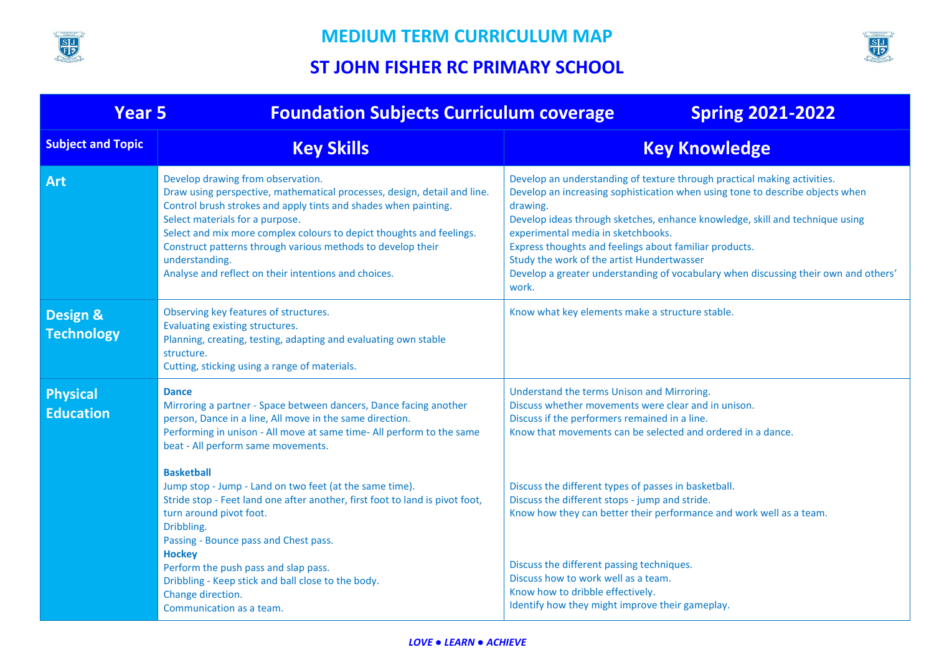



| <b>Year 5</b>                       | <b>Foundation Subjects Curriculum coverage</b>                                                                                                                                                                                                                                                                                                                                                                                       | <b>Spring 2021-2022</b>                                                                                                                                                                                                                                                                                                                                                                                                                                                                             |
|-------------------------------------|--------------------------------------------------------------------------------------------------------------------------------------------------------------------------------------------------------------------------------------------------------------------------------------------------------------------------------------------------------------------------------------------------------------------------------------|-----------------------------------------------------------------------------------------------------------------------------------------------------------------------------------------------------------------------------------------------------------------------------------------------------------------------------------------------------------------------------------------------------------------------------------------------------------------------------------------------------|
| <b>Subject and Topic</b>            | <b>Key Skills</b>                                                                                                                                                                                                                                                                                                                                                                                                                    | <b>Key Knowledge</b>                                                                                                                                                                                                                                                                                                                                                                                                                                                                                |
| <b>Art</b>                          | Develop drawing from observation.<br>Draw using perspective, mathematical processes, design, detail and line.<br>Control brush strokes and apply tints and shades when painting.<br>Select materials for a purpose.<br>Select and mix more complex colours to depict thoughts and feelings.<br>Construct patterns through various methods to develop their<br>understanding.<br>Analyse and reflect on their intentions and choices. | Develop an understanding of texture through practical making activities.<br>Develop an increasing sophistication when using tone to describe objects when<br>drawing.<br>Develop ideas through sketches, enhance knowledge, skill and technique using<br>experimental media in sketchbooks.<br>Express thoughts and feelings about familiar products.<br>Study the work of the artist Hundertwasser<br>Develop a greater understanding of vocabulary when discussing their own and others'<br>work. |
| Design &<br><b>Technology</b>       | Observing key features of structures.<br>Evaluating existing structures.<br>Planning, creating, testing, adapting and evaluating own stable<br>structure.<br>Cutting, sticking using a range of materials.                                                                                                                                                                                                                           | Know what key elements make a structure stable.                                                                                                                                                                                                                                                                                                                                                                                                                                                     |
| <b>Physical</b><br><b>Education</b> | <b>Dance</b><br>Mirroring a partner - Space between dancers, Dance facing another<br>person, Dance in a line, All move in the same direction.<br>Performing in unison - All move at same time- All perform to the same<br>beat - All perform same movements.<br><b>Basketball</b>                                                                                                                                                    | Understand the terms Unison and Mirroring.<br>Discuss whether movements were clear and in unison.<br>Discuss if the performers remained in a line.<br>Know that movements can be selected and ordered in a dance.                                                                                                                                                                                                                                                                                   |
|                                     | Jump stop - Jump - Land on two feet (at the same time).<br>Stride stop - Feet land one after another, first foot to land is pivot foot,<br>turn around pivot foot.<br>Dribbling.<br>Passing - Bounce pass and Chest pass.<br><b>Hockey</b>                                                                                                                                                                                           | Discuss the different types of passes in basketball.<br>Discuss the different stops - jump and stride.<br>Know how they can better their performance and work well as a team.                                                                                                                                                                                                                                                                                                                       |
|                                     | Perform the push pass and slap pass.<br>Dribbling - Keep stick and ball close to the body.<br>Change direction.<br>Communication as a team.                                                                                                                                                                                                                                                                                          | Discuss the different passing techniques.<br>Discuss how to work well as a team.<br>Know how to dribble effectively.<br>Identify how they might improve their gameplay.                                                                                                                                                                                                                                                                                                                             |

#### *LOVE ● LEARN ● ACHIEVE*